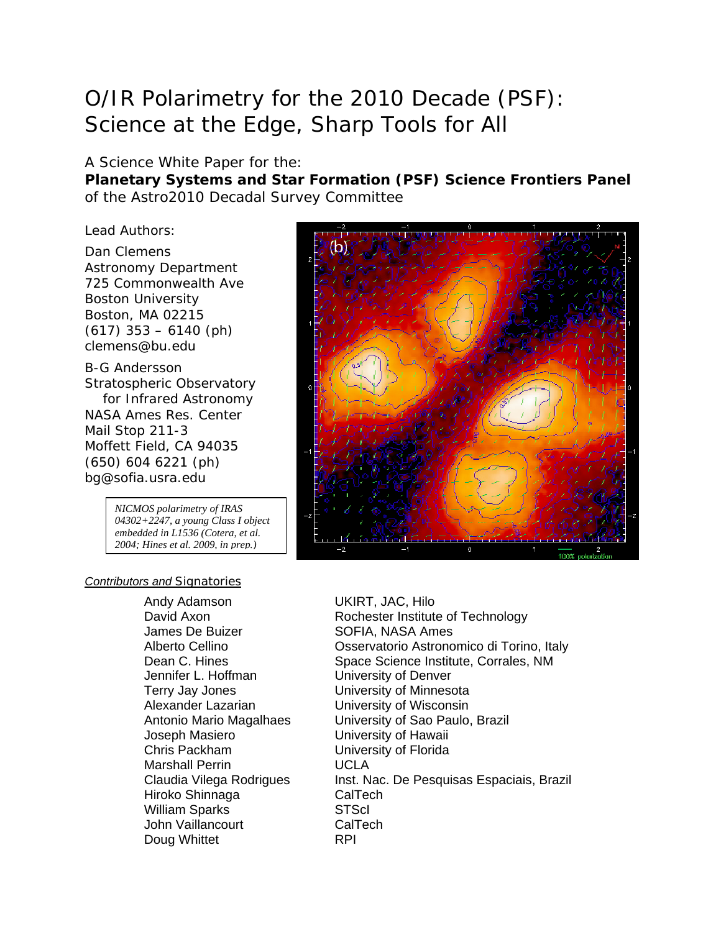# O/IR Polarimetry for the 2010 Decade (PSF): Science at the Edge, Sharp Tools for All

#### A Science White Paper for the:

**Planetary Systems and Star Formation (PSF) Science Frontiers Panel** of the Astro2010 Decadal Survey Committee

Lead Authors:

Dan Clemens Astronomy Department 725 Commonwealth Ave Boston University Boston, MA 02215 (617) 353 – 6140 (ph) clemens@bu.edu

B-G Andersson Stratospheric Observatory for Infrared Astronomy NASA Ames Res. Center Mail Stop 211-3 Moffett Field, CA 94035 (650) 604 6221 (ph) bg@sofia.usra.edu

> *NICMOS polarimetry of IRAS 04302+2247, a young Class I object embedded in L1536 (Cotera, et al. 2004; Hines et al. 2009, in prep.)*

#### *Contributors and Signatories*

Andy Adamson UKIRT, JAC, Hilo James De Buizer SOFIA, NASA Ames Jennifer L. Hoffman University of Denver Terry Jay Jones University of Minnesota Alexander Lazarian University of Wisconsin Chris Packham University of Florida Marshall Perrin UCLA Hiroko Shinnaga CalTech William Sparks STScI John Vaillancourt CalTech Doug Whittet **RPI** 



David Axon **Rochester Institute of Technology** Alberto Cellino Osservatorio Astronomico di Torino, Italy Dean C. Hines Space Science Institute, Corrales, NM Antonio Mario Magalhaes University of Sao Paulo, Brazil<br>Joseph Masiero **University of Hawaii** University of Hawaii Claudia Vilega Rodrigues Inst. Nac. De Pesquisas Espaciais, Brazil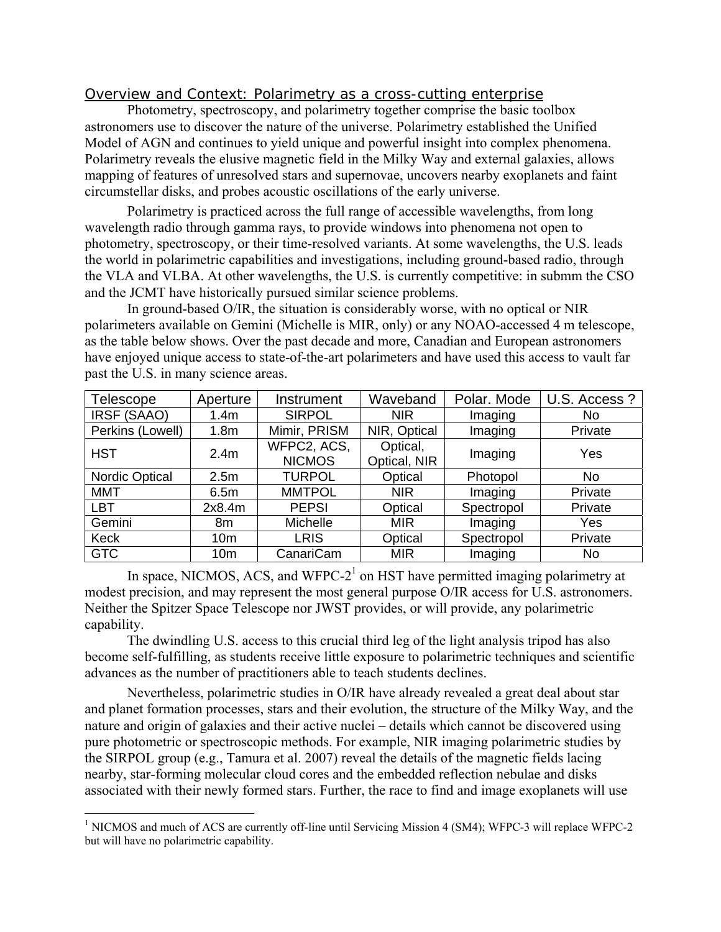## *Overview and Context: Polarimetry as a cross-cutting enterprise*

 Photometry, spectroscopy, and polarimetry together comprise the basic toolbox astronomers use to discover the nature of the universe. Polarimetry established the Unified Model of AGN and continues to yield unique and powerful insight into complex phenomena. Polarimetry reveals the elusive magnetic field in the Milky Way and external galaxies, allows mapping of features of unresolved stars and supernovae, uncovers nearby exoplanets and faint circumstellar disks, and probes acoustic oscillations of the early universe.

 Polarimetry is practiced across the full range of accessible wavelengths, from long wavelength radio through gamma rays, to provide windows into phenomena not open to photometry, spectroscopy, or their time-resolved variants. At some wavelengths, the U.S. leads the world in polarimetric capabilities and investigations, including ground-based radio, through the VLA and VLBA. At other wavelengths, the U.S. is currently competitive: in submm the CSO and the JCMT have historically pursued similar science problems.

 In ground-based O/IR, the situation is considerably worse, with no optical or NIR polarimeters available on Gemini (Michelle is MIR, only) or any NOAO-accessed 4 m telescope, as the table below shows. Over the past decade and more, Canadian and European astronomers have enjoyed unique access to state-of-the-art polarimeters and have used this access to vault far past the U.S. in many science areas.

| Telescope             | Aperture         | Instrument    | Waveband     | Polar. Mode | U.S. Access? |
|-----------------------|------------------|---------------|--------------|-------------|--------------|
| IRSF (SAAO)           | 1.4 <sub>m</sub> | <b>SIRPOL</b> | <b>NIR</b>   | Imaging     | No.          |
| Perkins (Lowell)      | 1.8 <sub>m</sub> | Mimir, PRISM  | NIR, Optical | Imaging     | Private      |
| <b>HST</b>            | 2.4 <sub>m</sub> | WFPC2, ACS,   | Optical,     | Imaging     | Yes          |
|                       |                  | <b>NICMOS</b> | Optical, NIR |             |              |
| <b>Nordic Optical</b> | 2.5m             | <b>TURPOL</b> | Optical      | Photopol    | No.          |
| <b>MMT</b>            | 6.5m             | <b>MMTPOL</b> | <b>NIR</b>   | Imaging     | Private      |
| <b>LBT</b>            | 2x8.4m           | <b>PEPSI</b>  | Optical      | Spectropol  | Private      |
| Gemini                | 8m               | Michelle      | <b>MIR</b>   | Imaging     | Yes          |
| Keck                  | 10 <sub>m</sub>  | <b>LRIS</b>   | Optical      | Spectropol  | Private      |
| <b>GTC</b>            | 10 <sub>m</sub>  | CanariCam     | <b>MIR</b>   | Imaging     | <b>No</b>    |

In space, NICMOS, ACS, and WFPC- $2<sup>1</sup>$  on HST have permitted imaging polarimetry at modest precision, and may represent the most general purpose O/IR access for U.S. astronomers. Neither the Spitzer Space Telescope nor JWST provides, or will provide, any polarimetric capability.

 The dwindling U.S. access to this crucial third leg of the light analysis tripod has also become self-fulfilling, as students receive little exposure to polarimetric techniques and scientific advances as the number of practitioners able to teach students declines.

 Nevertheless, polarimetric studies in O/IR have already revealed a great deal about star and planet formation processes, stars and their evolution, the structure of the Milky Way, and the nature and origin of galaxies and their active nuclei – details which cannot be discovered using pure photometric or spectroscopic methods. For example, NIR imaging polarimetric studies by the SIRPOL group (e.g., Tamura et al. 2007) reveal the details of the magnetic fields lacing nearby, star-forming molecular cloud cores and the embedded reflection nebulae and disks associated with their newly formed stars. Further, the race to find and image exoplanets will use

<sup>&</sup>lt;sup>1</sup> NICMOS and much of ACS are currently off-line until Servicing Mission 4 (SM4); WFPC-3 will replace WFPC-2 but will have no polarimetric capability.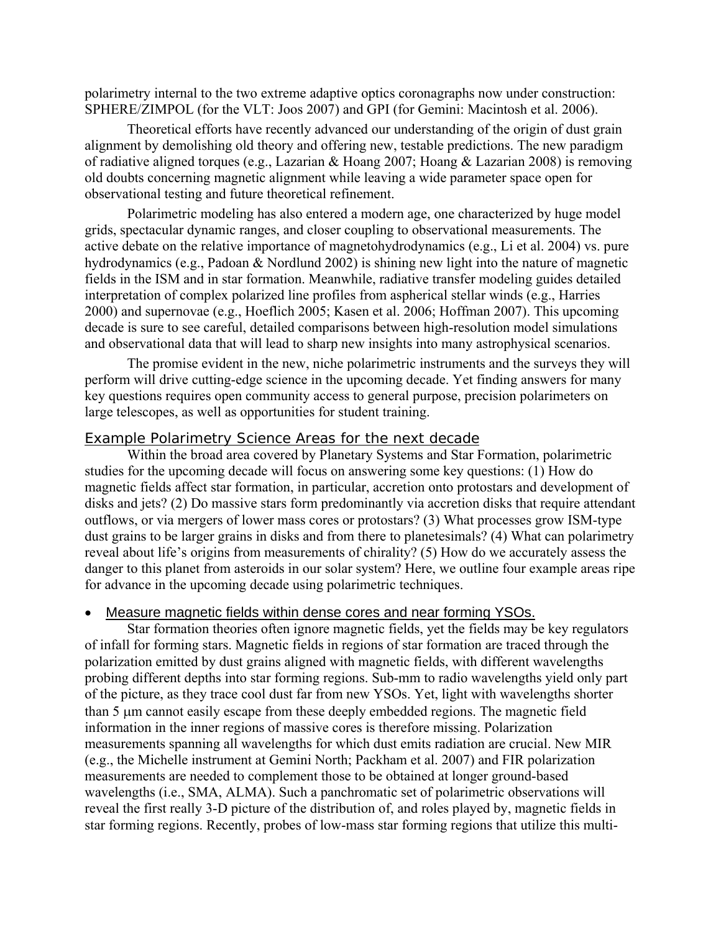polarimetry internal to the two extreme adaptive optics coronagraphs now under construction: SPHERE/ZIMPOL (for the VLT: Joos 2007) and GPI (for Gemini: Macintosh et al. 2006).

 Theoretical efforts have recently advanced our understanding of the origin of dust grain alignment by demolishing old theory and offering new, testable predictions. The new paradigm of radiative aligned torques (e.g., Lazarian & Hoang 2007; Hoang & Lazarian 2008) is removing old doubts concerning magnetic alignment while leaving a wide parameter space open for observational testing and future theoretical refinement.

 Polarimetric modeling has also entered a modern age, one characterized by huge model grids, spectacular dynamic ranges, and closer coupling to observational measurements. The active debate on the relative importance of magnetohydrodynamics (e.g., Li et al. 2004) vs. pure hydrodynamics (e.g., Padoan & Nordlund 2002) is shining new light into the nature of magnetic fields in the ISM and in star formation. Meanwhile, radiative transfer modeling guides detailed interpretation of complex polarized line profiles from aspherical stellar winds (e.g., Harries 2000) and supernovae (e.g., Hoeflich 2005; Kasen et al. 2006; Hoffman 2007). This upcoming decade is sure to see careful, detailed comparisons between high-resolution model simulations and observational data that will lead to sharp new insights into many astrophysical scenarios.

 The promise evident in the new, niche polarimetric instruments and the surveys they will perform will drive cutting-edge science in the upcoming decade. Yet finding answers for many key questions requires open community access to general purpose, precision polarimeters on large telescopes, as well as opportunities for student training.

#### *Example Polarimetry Science Areas for the next decade*

Within the broad area covered by Planetary Systems and Star Formation, polarimetric studies for the upcoming decade will focus on answering some key questions: (1) How do magnetic fields affect star formation, in particular, accretion onto protostars and development of disks and jets? (2) Do massive stars form predominantly via accretion disks that require attendant outflows, or via mergers of lower mass cores or protostars? (3) What processes grow ISM-type dust grains to be larger grains in disks and from there to planetesimals? (4) What can polarimetry reveal about life's origins from measurements of chirality? (5) How do we accurately assess the danger to this planet from asteroids in our solar system? Here, we outline four example areas ripe for advance in the upcoming decade using polarimetric techniques.

#### Measure magnetic fields within dense cores and near forming YSOs.

Star formation theories often ignore magnetic fields, yet the fields may be key regulators of infall for forming stars. Magnetic fields in regions of star formation are traced through the polarization emitted by dust grains aligned with magnetic fields, with different wavelengths probing different depths into star forming regions. Sub-mm to radio wavelengths yield only part of the picture, as they trace cool dust far from new YSOs. Yet, light with wavelengths shorter than 5 μm cannot easily escape from these deeply embedded regions. The magnetic field information in the inner regions of massive cores is therefore missing. Polarization measurements spanning all wavelengths for which dust emits radiation are crucial. New MIR (e.g., the Michelle instrument at Gemini North; Packham et al. 2007) and FIR polarization measurements are needed to complement those to be obtained at longer ground-based wavelengths (i.e., SMA, ALMA). Such a panchromatic set of polarimetric observations will reveal the first really 3-D picture of the distribution of, and roles played by, magnetic fields in star forming regions. Recently, probes of low-mass star forming regions that utilize this multi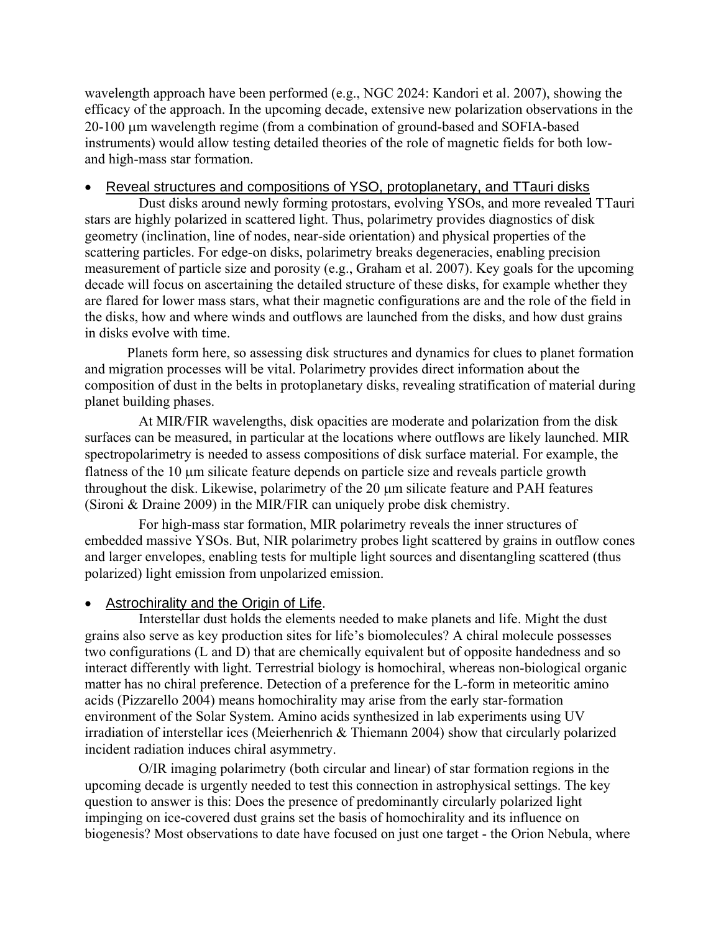wavelength approach have been performed (e.g., NGC 2024: Kandori et al. 2007), showing the efficacy of the approach. In the upcoming decade, extensive new polarization observations in the 20-100 μm wavelength regime (from a combination of ground-based and SOFIA-based instruments) would allow testing detailed theories of the role of magnetic fields for both lowand high-mass star formation.

#### Reveal structures and compositions of YSO, protoplanetary, and TTauri disks

Dust disks around newly forming protostars, evolving YSOs, and more revealed TTauri stars are highly polarized in scattered light. Thus, polarimetry provides diagnostics of disk geometry (inclination, line of nodes, near-side orientation) and physical properties of the scattering particles. For edge-on disks, polarimetry breaks degeneracies, enabling precision measurement of particle size and porosity (e.g., Graham et al. 2007). Key goals for the upcoming decade will focus on ascertaining the detailed structure of these disks, for example whether they are flared for lower mass stars, what their magnetic configurations are and the role of the field in the disks, how and where winds and outflows are launched from the disks, and how dust grains in disks evolve with time.

 Planets form here, so assessing disk structures and dynamics for clues to planet formation and migration processes will be vital. Polarimetry provides direct information about the composition of dust in the belts in protoplanetary disks, revealing stratification of material during planet building phases.

 At MIR/FIR wavelengths, disk opacities are moderate and polarization from the disk surfaces can be measured, in particular at the locations where outflows are likely launched. MIR spectropolarimetry is needed to assess compositions of disk surface material. For example, the flatness of the 10 μm silicate feature depends on particle size and reveals particle growth throughout the disk. Likewise, polarimetry of the 20 μm silicate feature and PAH features (Sironi & Draine 2009) in the MIR/FIR can uniquely probe disk chemistry.

 For high-mass star formation, MIR polarimetry reveals the inner structures of embedded massive YSOs. But, NIR polarimetry probes light scattered by grains in outflow cones and larger envelopes, enabling tests for multiple light sources and disentangling scattered (thus polarized) light emission from unpolarized emission.

## • Astrochirality and the Origin of Life.

Interstellar dust holds the elements needed to make planets and life. Might the dust grains also serve as key production sites for life's biomolecules? A chiral molecule possesses two configurations (L and D) that are chemically equivalent but of opposite handedness and so interact differently with light. Terrestrial biology is homochiral, whereas non-biological organic matter has no chiral preference. Detection of a preference for the L-form in meteoritic amino acids (Pizzarello 2004) means homochirality may arise from the early star-formation environment of the Solar System. Amino acids synthesized in lab experiments using UV irradiation of interstellar ices (Meierhenrich & Thiemann 2004) show that circularly polarized incident radiation induces chiral asymmetry.

O/IR imaging polarimetry (both circular and linear) of star formation regions in the upcoming decade is urgently needed to test this connection in astrophysical settings. The key question to answer is this: Does the presence of predominantly circularly polarized light impinging on ice-covered dust grains set the basis of homochirality and its influence on biogenesis? Most observations to date have focused on just one target - the Orion Nebula, where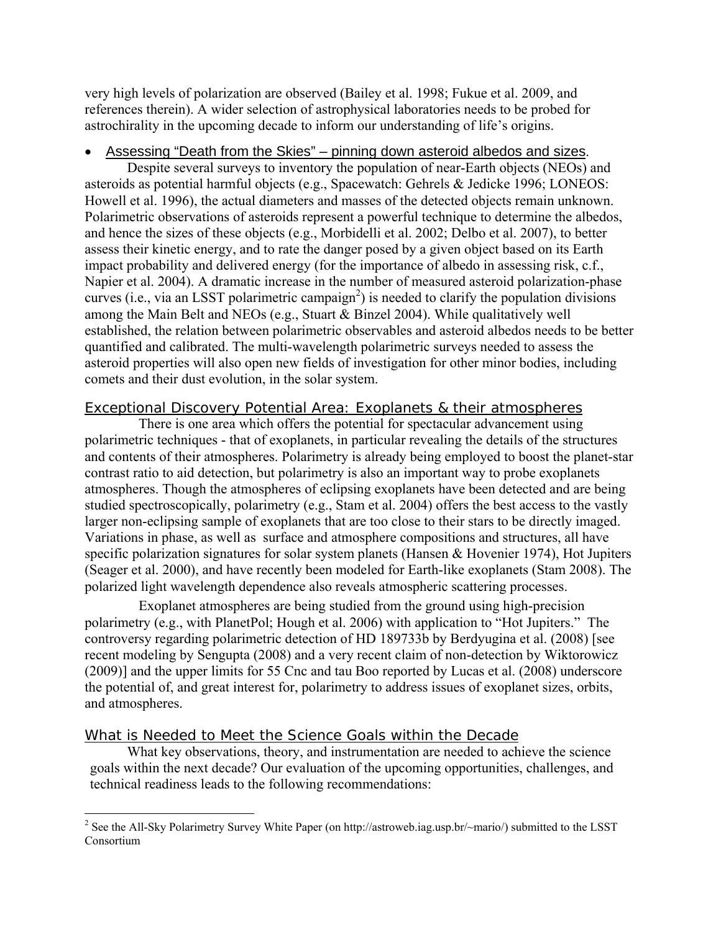very high levels of polarization are observed (Bailey et al. 1998; Fukue et al. 2009, and references therein). A wider selection of astrophysical laboratories needs to be probed for astrochirality in the upcoming decade to inform our understanding of life's origins.

## • Assessing "Death from the Skies" – pinning down asteroid albedos and sizes.

Despite several surveys to inventory the population of near-Earth objects (NEOs) and asteroids as potential harmful objects (e.g., Spacewatch: Gehrels & Jedicke 1996; LONEOS: Howell et al. 1996), the actual diameters and masses of the detected objects remain unknown. Polarimetric observations of asteroids represent a powerful technique to determine the albedos, and hence the sizes of these objects (e.g., Morbidelli et al. 2002; Delbo et al. 2007), to better assess their kinetic energy, and to rate the danger posed by a given object based on its Earth impact probability and delivered energy (for the importance of albedo in assessing risk, c.f., Napier et al. 2004). A dramatic increase in the number of measured asteroid polarization-phase curves (i.e., via an LSST polarimetric campaign<sup>2</sup>) is needed to clarify the population divisions among the Main Belt and NEOs (e.g., Stuart & Binzel 2004). While qualitatively well established, the relation between polarimetric observables and asteroid albedos needs to be better quantified and calibrated. The multi-wavelength polarimetric surveys needed to assess the asteroid properties will also open new fields of investigation for other minor bodies, including comets and their dust evolution, in the solar system.

#### *Exceptional Discovery Potential Area: Exoplanets & their atmospheres*

There is one area which offers the potential for spectacular advancement using polarimetric techniques - that of exoplanets, in particular revealing the details of the structures and contents of their atmospheres. Polarimetry is already being employed to boost the planet-star contrast ratio to aid detection, but polarimetry is also an important way to probe exoplanets atmospheres. Though the atmospheres of eclipsing exoplanets have been detected and are being studied spectroscopically, polarimetry (e.g., Stam et al. 2004) offers the best access to the vastly larger non-eclipsing sample of exoplanets that are too close to their stars to be directly imaged. Variations in phase, as well as surface and atmosphere compositions and structures, all have specific polarization signatures for solar system planets (Hansen & Hovenier 1974), Hot Jupiters (Seager et al. 2000), and have recently been modeled for Earth-like exoplanets (Stam 2008). The polarized light wavelength dependence also reveals atmospheric scattering processes.

 Exoplanet atmospheres are being studied from the ground using high-precision polarimetry (e.g., with PlanetPol; Hough et al. 2006) with application to "Hot Jupiters." The controversy regarding polarimetric detection of HD 189733b by Berdyugina et al. (2008) [see recent modeling by Sengupta (2008) and a very recent claim of non-detection by Wiktorowicz (2009)] and the upper limits for 55 Cnc and tau Boo reported by Lucas et al. (2008) underscore the potential of, and great interest for, polarimetry to address issues of exoplanet sizes, orbits, and atmospheres.

## *What is Needed to Meet the Science Goals within the Decade*

 $\overline{a}$ 

What key observations, theory, and instrumentation are needed to achieve the science goals within the next decade? Our evaluation of the upcoming opportunities, challenges, and technical readiness leads to the following recommendations:

<sup>&</sup>lt;sup>2</sup> See the All-Sky Polarimetry Survey White Paper (on http://astroweb.iag.usp.br/~mario/) submitted to the LSST Consortium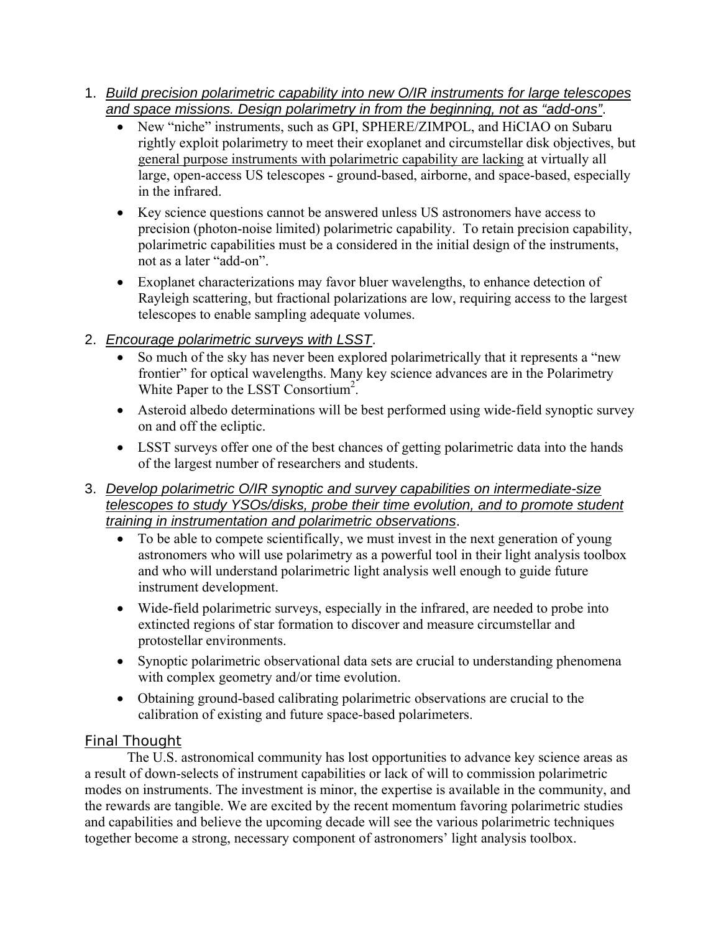- 1. *Build precision polarimetric capability into new O/IR instruments for large telescopes and space missions. Design polarimetry in from the beginning, not as "add-ons"*.
	- New "niche" instruments, such as GPI, SPHERE/ZIMPOL, and HiCIAO on Subaru rightly exploit polarimetry to meet their exoplanet and circumstellar disk objectives, but general purpose instruments with polarimetric capability are lacking at virtually all large, open-access US telescopes - ground-based, airborne, and space-based, especially in the infrared.
	- Key science questions cannot be answered unless US astronomers have access to precision (photon-noise limited) polarimetric capability. To retain precision capability, polarimetric capabilities must be a considered in the initial design of the instruments, not as a later "add-on".
	- Exoplanet characterizations may favor bluer wavelengths, to enhance detection of Rayleigh scattering, but fractional polarizations are low, requiring access to the largest telescopes to enable sampling adequate volumes.

## 2. *Encourage polarimetric surveys with LSST*.

- So much of the sky has never been explored polarimetrically that it represents a "new frontier" for optical wavelengths. Many key science advances are in the Polarimetry White Paper to the LSST Consortium<sup>2</sup>.
- Asteroid albedo determinations will be best performed using wide-field synoptic survey on and off the ecliptic.
- LSST surveys offer one of the best chances of getting polarimetric data into the hands of the largest number of researchers and students.

## 3. *Develop polarimetric O/IR synoptic and survey capabilities on intermediate-size telescopes to study YSOs/disks, probe their time evolution, and to promote student training in instrumentation and polarimetric observations*.

- To be able to compete scientifically, we must invest in the next generation of young astronomers who will use polarimetry as a powerful tool in their light analysis toolbox and who will understand polarimetric light analysis well enough to guide future instrument development.
- Wide-field polarimetric surveys, especially in the infrared, are needed to probe into extincted regions of star formation to discover and measure circumstellar and protostellar environments.
- Synoptic polarimetric observational data sets are crucial to understanding phenomena with complex geometry and/or time evolution.
- Obtaining ground-based calibrating polarimetric observations are crucial to the calibration of existing and future space-based polarimeters.

## *Final Thought*

The U.S. astronomical community has lost opportunities to advance key science areas as a result of down-selects of instrument capabilities or lack of will to commission polarimetric modes on instruments. The investment is minor, the expertise is available in the community, and the rewards are tangible. We are excited by the recent momentum favoring polarimetric studies and capabilities and believe the upcoming decade will see the various polarimetric techniques together become a strong, necessary component of astronomers' light analysis toolbox.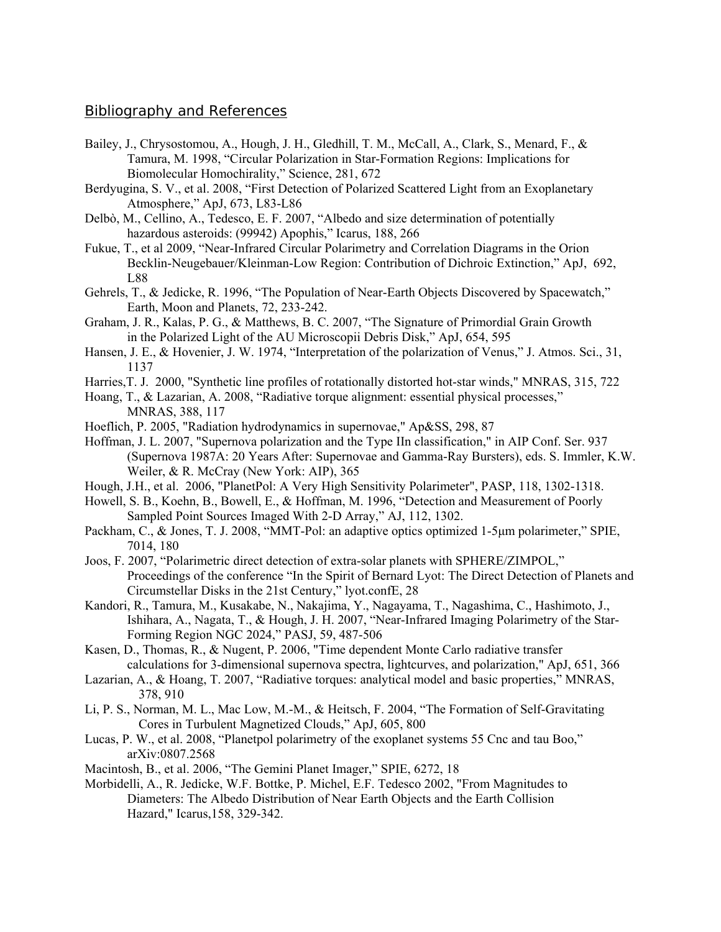#### *Bibliography and References*

- Bailey, J., Chrysostomou, A., Hough, J. H., Gledhill, T. M., McCall, A., Clark, S., Menard, F., & Tamura, M. 1998, "Circular Polarization in Star-Formation Regions: Implications for Biomolecular Homochirality," Science, 281, 672
- Berdyugina, S. V., et al. 2008, "First Detection of Polarized Scattered Light from an Exoplanetary Atmosphere," ApJ, 673, L83-L86
- Delbò, M., Cellino, A., Tedesco, E. F. 2007, "Albedo and size determination of potentially hazardous asteroids: (99942) Apophis," Icarus, 188, 266
- Fukue, T., et al 2009, "Near-Infrared Circular Polarimetry and Correlation Diagrams in the Orion Becklin-Neugebauer/Kleinman-Low Region: Contribution of Dichroic Extinction," ApJ, 692, L88
- Gehrels, T., & Jedicke, R. 1996, "The Population of Near-Earth Objects Discovered by Spacewatch," Earth, Moon and Planets, 72, 233-242.
- Graham, J. R., Kalas, P. G., & Matthews, B. C. 2007, "The Signature of Primordial Grain Growth in the Polarized Light of the AU Microscopii Debris Disk," ApJ, 654, 595
- Hansen, J. E., & Hovenier, J. W. 1974, "Interpretation of the polarization of Venus," J. Atmos. Sci., 31, 1137
- Harries,T. J. 2000, "Synthetic line profiles of rotationally distorted hot-star winds," MNRAS, 315, 722
- Hoang, T., & Lazarian, A. 2008, "Radiative torque alignment: essential physical processes," MNRAS, 388, 117
- Hoeflich, P. 2005, "Radiation hydrodynamics in supernovae," Ap&SS, 298, 87
- Hoffman, J. L. 2007, "Supernova polarization and the Type IIn classification," in AIP Conf. Ser. 937 (Supernova 1987A: 20 Years After: Supernovae and Gamma-Ray Bursters), eds. S. Immler, K.W. Weiler, & R. McCray (New York: AIP), 365
- Hough, J.H., et al. 2006, "PlanetPol: A Very High Sensitivity Polarimeter", PASP, 118, 1302-1318.
- Howell, S. B., Koehn, B., Bowell, E., & Hoffman, M. 1996, "Detection and Measurement of Poorly Sampled Point Sources Imaged With 2-D Array," AJ, 112, 1302.
- Packham, C., & Jones, T. J. 2008, "MMT-Pol: an adaptive optics optimized 1-5μm polarimeter," SPIE, 7014, 180
- Joos, F. 2007, "Polarimetric direct detection of extra-solar planets with SPHERE/ZIMPOL," Proceedings of the conference "In the Spirit of Bernard Lyot: The Direct Detection of Planets and Circumstellar Disks in the 21st Century," lyot.confE, 28
- Kandori, R., Tamura, M., Kusakabe, N., Nakajima, Y., Nagayama, T., Nagashima, C., Hashimoto, J., Ishihara, A., Nagata, T., & Hough, J. H. 2007, "Near-Infrared Imaging Polarimetry of the Star- Forming Region NGC 2024," PASJ, 59, 487-506
- Kasen, D., Thomas, R., & Nugent, P. 2006, "Time dependent Monte Carlo radiative transfer calculations for 3-dimensional supernova spectra, lightcurves, and polarization," ApJ, 651, 366
- Lazarian, A., & Hoang, T. 2007, "Radiative torques: analytical model and basic properties," MNRAS, 378, 910
- Li, P. S., Norman, M. L., Mac Low, M.-M., & Heitsch, F. 2004, "The Formation of Self-Gravitating Cores in Turbulent Magnetized Clouds," ApJ, 605, 800
- Lucas, P. W., et al. 2008, "Planetpol polarimetry of the exoplanet systems 55 Cnc and tau Boo," arXiv:0807.2568
- Macintosh, B., et al. 2006, "The Gemini Planet Imager," SPIE, 6272, 18
- Morbidelli, A., R. Jedicke, W.F. Bottke, P. Michel, E.F. Tedesco 2002, "From Magnitudes to Diameters: The Albedo Distribution of Near Earth Objects and the Earth Collision Hazard," Icarus,158, 329-342.